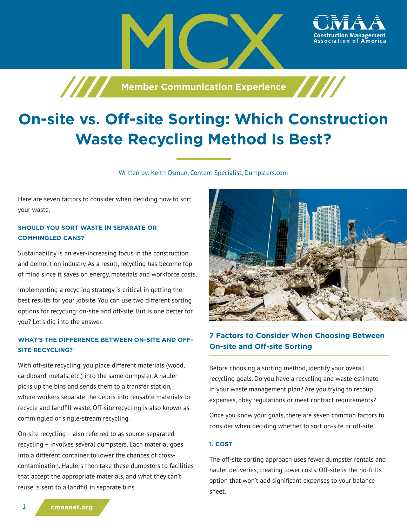

**Member Communication Experience** 

Written by: Keith Osmun, Content Specialist, Dumpsters.com

Here are seven factors to consider when deciding how to sort your waste.

## **SHOULD YOU SORT WASTE IN SEPARATE OR COMMINGLED CANS?**

Sustainability is an ever-increasing focus in the construction and demolition industry. As a result, recycling has become top of mind since it saves on energy, materials and workforce costs.

Implementing a recycling strategy is critical in getting the best results for your jobsite. You can use two different sorting options for recycling: on-site and off-site. But is one better for you? Let's dig into the answer.

## **WHAT'S THE DIFFERENCE BETWEEN ON-SITE AND OFF-SITE RECYCLING?**

With off-site recycling, you place different materials (wood, cardboard, metals, etc.) into the same dumpster. A hauler picks up the bins and sends them to a transfer station, where workers separate the debris into reusable materials to recycle and landfill waste. Off-site recycling is also known as commingled or single-stream recycling.

On-site recycling – also referred to as source-separated recycling – involves several dumpsters. Each material goes into a different container to lower the chances of crosscontamination. Haulers then take these dumpsters to facilities that accept the appropriate materials, and what they can't reuse is sent to a landfill in separate bins.



ssociation of America

# **7 Factors to Consider When Choosing Between On-site and Off-site Sorting**

Before choosing a sorting method, identify your overall recycling goals. Do you have a recycling and waste estimate in your waste management plan? Are you trying to recoup expenses, obey regulations or meet contract requirements?

Once you know your goals, there are seven common factors to consider when deciding whether to sort on-site or off-site.

## **1. COST**

The off-site sorting approach uses fewer dumpster rentals and hauler deliveries, creating lower costs. Off-site is the no-frills option that won't add significant expenses to your balance sheet.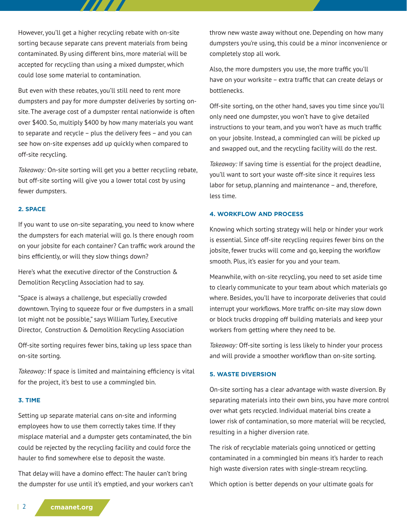However, you'll get a higher recycling rebate with on-site sorting because separate cans prevent materials from being contaminated. By using different bins, more material will be accepted for recycling than using a mixed dumpster, which could lose some material to contamination.

77 T T

But even with these rebates, you'll still need to rent more dumpsters and pay for more dumpster deliveries by sorting onsite. The average cost of a dumpster rental nationwide is often over \$400. So, multiply \$400 by how many materials you want to separate and recycle – plus the delivery fees – and you can see how on-site expenses add up quickly when compared to off-site recycling.

*Takeaway:* On-site sorting will get you a better recycling rebate, but off-site sorting will give you a lower total cost by using fewer dumpsters.

#### **2. SPACE**

If you want to use on-site separating, you need to know where the dumpsters for each material will go. Is there enough room on your jobsite for each container? Can traffic work around the bins efficiently, or will they slow things down?

Here's what the executive director of the Construction & Demolition Recycling Association had to say.

"Space is always a challenge, but especially crowded downtown. Trying to squeeze four or five dumpsters in a small lot might not be possible," says William Turley, Executive Director, Construction & Demolition Recycling Association

Off-site sorting requires fewer bins, taking up less space than on-site sorting.

*Takeaway:* If space is limited and maintaining efficiency is vital for the project, it's best to use a commingled bin.

#### **3. TIME**

Setting up separate material cans on-site and informing employees how to use them correctly takes time. If they misplace material and a dumpster gets contaminated, the bin could be rejected by the recycling facility and could force the hauler to find somewhere else to deposit the waste.

That delay will have a domino effect: The hauler can't bring the dumpster for use until it's emptied, and your workers can't throw new waste away without one. Depending on how many dumpsters you're using, this could be a minor inconvenience or completely stop all work.

Also, the more dumpsters you use, the more traffic you'll have on your worksite – extra traffic that can create delays or bottlenecks.

Off-site sorting, on the other hand, saves you time since you'll only need one dumpster, you won't have to give detailed instructions to your team, and you won't have as much traffic on your jobsite. Instead, a commingled can will be picked up and swapped out, and the recycling facility will do the rest.

*Takeaway:* If saving time is essential for the project deadline, you'll want to sort your waste off-site since it requires less labor for setup, planning and maintenance – and, therefore, less time.

#### **4. WORKFLOW AND PROCESS**

Knowing which sorting strategy will help or hinder your work is essential. Since off-site recycling requires fewer bins on the jobsite, fewer trucks will come and go, keeping the workflow smooth. Plus, it's easier for you and your team.

Meanwhile, with on-site recycling, you need to set aside time to clearly communicate to your team about which materials go where. Besides, you'll have to incorporate deliveries that could interrupt your workflows. More traffic on-site may slow down or block trucks dropping off building materials and keep your workers from getting where they need to be.

*Takeaway:* Off-site sorting is less likely to hinder your process and will provide a smoother workflow than on-site sorting.

### **5. WASTE DIVERSION**

On-site sorting has a clear advantage with waste diversion. By separating materials into their own bins, you have more control over what gets recycled. Individual material bins create a lower risk of contamination, so more material will be recycled, resulting in a higher diversion rate.

The risk of recyclable materials going unnoticed or getting contaminated in a commingled bin means it's harder to reach high waste diversion rates with single-stream recycling.

Which option is better depends on your ultimate goals for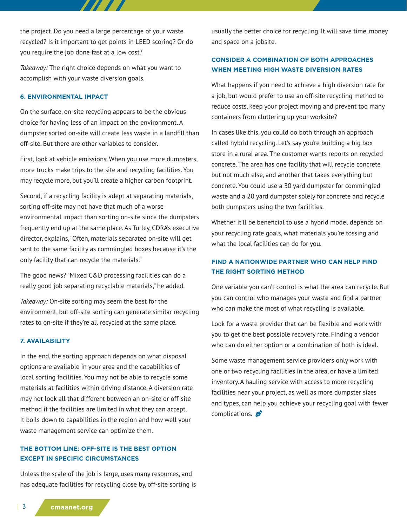the project. Do you need a large percentage of your waste recycled? Is it important to get points in LEED scoring? Or do you require the job done fast at a low cost?

*Takeaway:* The right choice depends on what you want to accomplish with your waste diversion goals.

#### **6. ENVIRONMENTAL IMPACT**

On the surface, on-site recycling appears to be the obvious choice for having less of an impact on the environment. A dumpster sorted on-site will create less waste in a landfill than off-site. But there are other variables to consider.

First, look at vehicle emissions. When you use more dumpsters, more trucks make trips to the site and recycling facilities. You may recycle more, but you'll create a higher carbon footprint.

Second, if a recycling facility is adept at separating materials, sorting off-site may not have that much of a worse environmental impact than sorting on-site since the dumpsters frequently end up at the same place. As Turley, CDRA's executive director, explains, "Often, materials separated on-site will get sent to the same facility as commingled boxes because it's the only facility that can recycle the materials."

The good news? "Mixed C&D processing facilities can do a really good job separating recyclable materials," he added.

*Takeaway:* On-site sorting may seem the best for the environment, but off-site sorting can generate similar recycling rates to on-site if they're all recycled at the same place.

### **7. AVAILABILITY**

In the end, the sorting approach depends on what disposal options are available in your area and the capabilities of local sorting facilities. You may not be able to recycle some materials at facilities within driving distance. A diversion rate may not look all that different between an on-site or off-site method if the facilities are limited in what they can accept. It boils down to capabilities in the region and how well your waste management service can optimize them.

## **THE BOTTOM LINE: OFF-SITE IS THE BEST OPTION EXCEPT IN SPECIFIC CIRCUMSTANCES**

Unless the scale of the job is large, uses many resources, and has adequate facilities for recycling close by, off-site sorting is usually the better choice for recycling. It will save time, money and space on a jobsite.

## **CONSIDER A COMBINATION OF BOTH APPROACHES WHEN MEETING HIGH WASTE DIVERSION RATES**

What happens if you need to achieve a high diversion rate for a job, but would prefer to use an off-site recycling method to reduce costs, keep your project moving and prevent too many containers from cluttering up your worksite?

In cases like this, you could do both through an approach called hybrid recycling. Let's say you're building a big box store in a rural area. The customer wants reports on recycled concrete. The area has one facility that will recycle concrete but not much else, and another that takes everything but concrete. You could use a 30 yard dumpster for commingled waste and a 20 yard dumpster solely for concrete and recycle both dumpsters using the two facilities.

Whether it'll be beneficial to use a hybrid model depends on your recycling rate goals, what materials you're tossing and what the local facilities can do for you.

## **FIND A NATIONWIDE PARTNER WHO CAN HELP FIND THE RIGHT SORTING METHOD**

One variable you can't control is what the area can recycle. But you can control who manages your waste and find a partner who can make the most of what recycling is available.

Look for a waste provider that can be flexible and work with you to get the best possible recovery rate. Finding a vendor who can do either option or a combination of both is ideal.

Some waste management service providers only work with one or two recycling facilities in the area, or have a limited inventory. A hauling service with access to more recycling facilities near your project, as well as more dumpster sizes and types, can help you achieve your recycling goal with fewer complications.